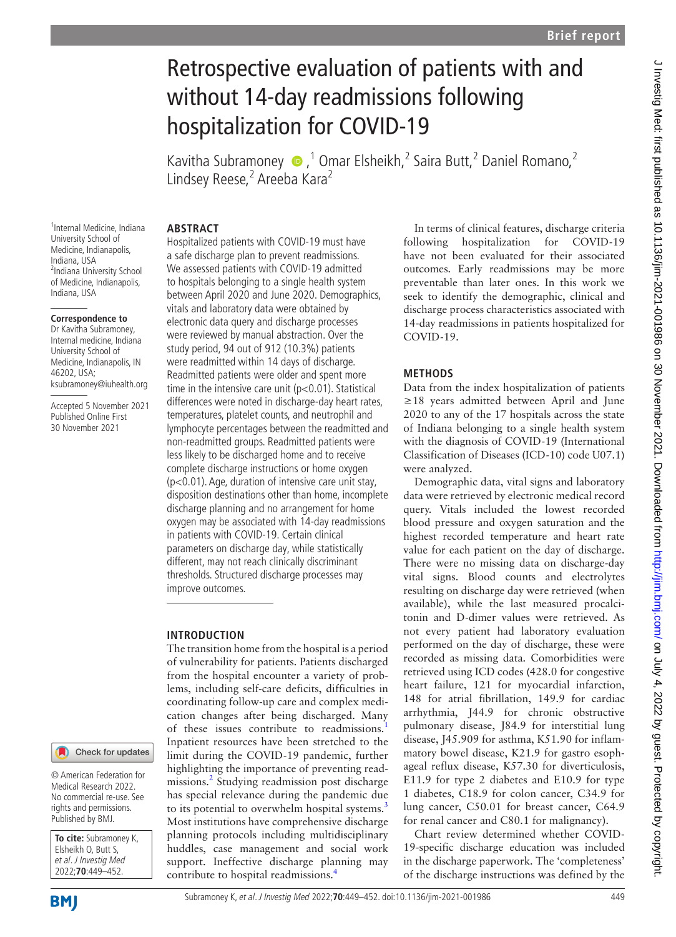# Retrospective evaluation of patients with and without 14-day readmissions following hospitalization for COVID-19

Kavitha Subramoney  $\bullet$ , <sup>1</sup> Omar Elsheikh, <sup>2</sup> Saira Butt, <sup>2</sup> Daniel Romano, <sup>2</sup> Lindsey Reese,<sup>2</sup> Areeba Kara<sup>2</sup>

### **ABSTRACT**

1 Internal Medicine, Indiana University School of Medicine, Indianapolis, Indiana, USA <sup>2</sup>Indiana University School of Medicine, Indianapolis, Indiana, USA

#### **Correspondence to**

Dr Kavitha Subramoney, Internal medicine, Indiana University School of Medicine, Indianapolis, IN 46202, USA; ksubramoney@iuhealth.org

Accepted 5 November 2021 Published Online First 30 November 2021

#### Check for updates

© American Federation for Medical Research 2022. No commercial re-use. See rights and permissions. Published by BMJ.

**To cite:** Subramoney K, Elsheikh O, Butt S, et al. J Investig Med 2022;**70**:449–452.

Hospitalized patients with COVID-19 must have a safe discharge plan to prevent readmissions. We assessed patients with COVID-19 admitted to hospitals belonging to a single health system between April 2020 and June 2020. Demographics, vitals and laboratory data were obtained by electronic data query and discharge processes were reviewed by manual abstraction. Over the study period, 94 out of 912 (10.3%) patients were readmitted within 14 days of discharge. Readmitted patients were older and spent more time in the intensive care unit (p<0.01). Statistical differences were noted in discharge-day heart rates, temperatures, platelet counts, and neutrophil and lymphocyte percentages between the readmitted and non-readmitted groups. Readmitted patients were less likely to be discharged home and to receive complete discharge instructions or home oxygen (p<0.01). Age, duration of intensive care unit stay, disposition destinations other than home, incomplete discharge planning and no arrangement for home oxygen may be associated with 14-day readmissions in patients with COVID-19. Certain clinical parameters on discharge day, while statistically different, may not reach clinically discriminant thresholds. Structured discharge processes may improve outcomes.

## **INTRODUCTION**

The transition home from the hospital is a period of vulnerability for patients. Patients discharged from the hospital encounter a variety of problems, including self-care deficits, difficulties in coordinating follow-up care and complex medication changes after being discharged. Many of these issues contribute to readmissions. Inpatient resources have been stretched to the limit during the COVID-19 pandemic, further highlighting the importance of preventing readmissions.[2](#page-3-1) Studying readmission post discharge has special relevance during the pandemic due to its potential to overwhelm hospital systems.<sup>[3](#page-3-2)</sup> Most institutions have comprehensive discharge planning protocols including multidisciplinary huddles, case management and social work support. Ineffective discharge planning may contribute to hospital readmissions.<sup>[4](#page-3-3)</sup>

In terms of clinical features, discharge criteria following hospitalization for COVID-19 have not been evaluated for their associated outcomes. Early readmissions may be more preventable than later ones. In this work we seek to identify the demographic, clinical and discharge process characteristics associated with 14-day readmissions in patients hospitalized for COVID-19.

# **METHODS**

Data from the index hospitalization of patients ≥18 years admitted between April and June 2020 to any of the 17 hospitals across the state of Indiana belonging to a single health system with the diagnosis of COVID-19 (International Classification of Diseases (ICD-10) code U07.1) were analyzed.

Demographic data, vital signs and laboratory data were retrieved by electronic medical record query. Vitals included the lowest recorded blood pressure and oxygen saturation and the highest recorded temperature and heart rate value for each patient on the day of discharge. There were no missing data on discharge-day vital signs. Blood counts and electrolytes resulting on discharge day were retrieved (when available), while the last measured procalcitonin and D-dimer values were retrieved. As not every patient had laboratory evaluation performed on the day of discharge, these were recorded as missing data. Comorbidities were retrieved using ICD codes (428.0 for congestive heart failure, 121 for myocardial infarction, 148 for atrial fibrillation, 149.9 for cardiac arrhythmia, J44.9 for chronic obstructive pulmonary disease, J84.9 for interstitial lung disease, J45.909 for asthma, K51.90 for inflammatory bowel disease, K21.9 for gastro esophageal reflux disease, K57.30 for diverticulosis, E11.9 for type 2 diabetes and E10.9 for type 1 diabetes, C18.9 for colon cancer, C34.9 for lung cancer, C50.01 for breast cancer, C64.9 for renal cancer and C80.1 for malignancy).

Chart review determined whether COVID-19-specific discharge education was included in the discharge paperwork. The 'completeness' of the discharge instructions was defined by the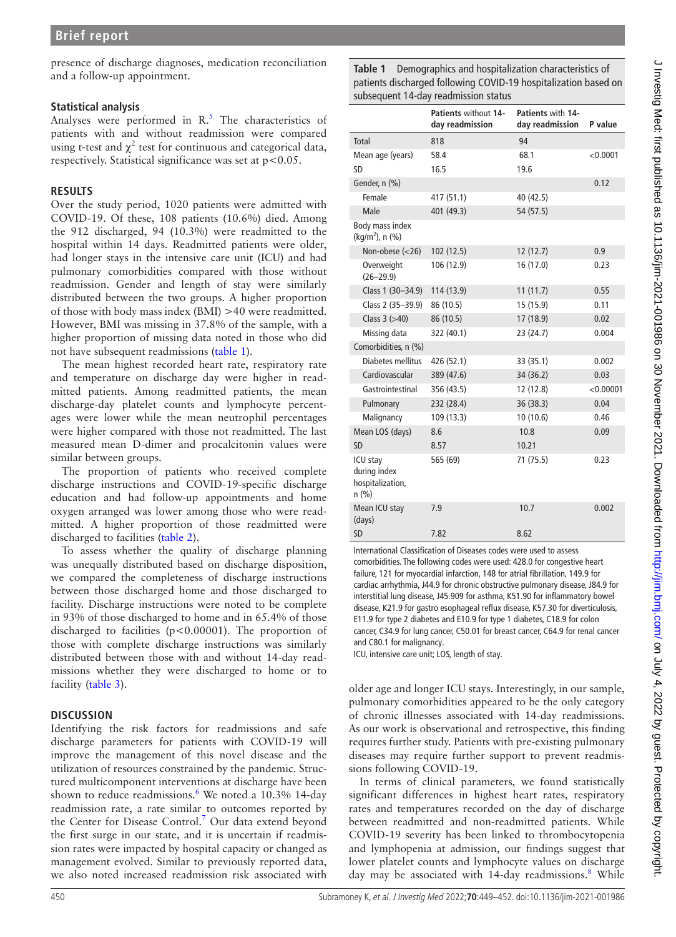presence of discharge diagnoses, medication reconciliation and a follow-up appointment.

## **Statistical analysis**

Analyses were performed in  $R<sup>5</sup>$  $R<sup>5</sup>$  $R<sup>5</sup>$ . The characteristics of patients with and without readmission were compared using t-test and  $\chi^2$  test for continuous and categorical data, respectively. Statistical significance was set at  $p < 0.05$ .

## **RESULTS**

Over the study period, 1020 patients were admitted with COVID-19. Of these, 108 patients (10.6%) died. Among the 912 discharged, 94 (10.3%) were readmitted to the hospital within 14 days. Readmitted patients were older, had longer stays in the intensive care unit (ICU) and had pulmonary comorbidities compared with those without readmission. Gender and length of stay were similarly distributed between the two groups. A higher proportion of those with body mass index (BMI) >40 were readmitted. However, BMI was missing in 37.8% of the sample, with a higher proportion of missing data noted in those who did not have subsequent readmissions ([table](#page-1-0) 1).

The mean highest recorded heart rate, respiratory rate and temperature on discharge day were higher in readmitted patients. Among readmitted patients, the mean discharge-day platelet counts and lymphocyte percentages were lower while the mean neutrophil percentages were higher compared with those not readmitted. The last measured mean D-dimer and procalcitonin values were similar between groups.

The proportion of patients who received complete discharge instructions and COVID-19-specific discharge education and had follow-up appointments and home oxygen arranged was lower among those who were readmitted. A higher proportion of those readmitted were discharged to facilities [\(table](#page-2-0) 2).

To assess whether the quality of discharge planning was unequally distributed based on discharge disposition, we compared the completeness of discharge instructions between those discharged home and those discharged to facility. Discharge instructions were noted to be complete in 93% of those discharged to home and in 65.4% of those discharged to facilities (p<0.00001). The proportion of those with complete discharge instructions was similarly distributed between those with and without 14-day readmissions whether they were discharged to home or to facility ([table](#page-2-1) 3).

# **DISCUSSION**

Identifying the risk factors for readmissions and safe discharge parameters for patients with COVID-19 will improve the management of this novel disease and the utilization of resources constrained by the pandemic. Structured multicomponent interventions at discharge have been shown to reduce readmissions.<sup>[6](#page-3-5)</sup> We noted a 10.3% 14-day readmission rate, a rate similar to outcomes reported by the Center for Disease Control.<sup>[7](#page-3-6)</sup> Our data extend beyond the first surge in our state, and it is uncertain if readmission rates were impacted by hospital capacity or changed as management evolved. Similar to previously reported data, we also noted increased readmission risk associated with

<span id="page-1-0"></span>**Table 1** Demographics and hospitalization characteristics of patients discharged following COVID-19 hospitalization based on subsequent 14-day readmission status

|                                                       | Patients without 14-<br>day readmission | Patients with 14-<br>day readmission | P value   |
|-------------------------------------------------------|-----------------------------------------|--------------------------------------|-----------|
| Total                                                 | 818                                     | 94                                   |           |
| Mean age (years)                                      | 58.4                                    | 68.1                                 | < 0.0001  |
| <b>SD</b>                                             | 16.5                                    | 19.6                                 |           |
| Gender, n (%)                                         |                                         |                                      | 0.12      |
| Female                                                | 417 (51.1)                              | 40 (42.5)                            |           |
| Male                                                  | 401 (49.3)                              | 54 (57.5)                            |           |
| Body mass index<br>(kg/m <sup>2</sup> ), n (%)        |                                         |                                      |           |
| Non-obese (<26)                                       | 102 (12.5)                              | 12(12.7)                             | 0.9       |
| Overweight<br>$(26 - 29.9)$                           | 106 (12.9)                              | 16 (17.0)                            | 0.23      |
| Class 1 (30-34.9)                                     | 114 (13.9)                              | 11(11.7)                             | 0.55      |
| Class 2 (35-39.9)                                     | 86 (10.5)                               | 15 (15.9)                            | 0.11      |
| Class $3$ ( $>40$ )                                   | 86 (10.5)                               | 17 (18.9)                            | 0.02      |
| Missing data                                          | 322 (40.1)                              | 23 (24.7)                            | 0.004     |
| Comorbidities, n (%)                                  |                                         |                                      |           |
| <b>Diabetes mellitus</b>                              | 426 (52.1)                              | 33 (35.1)                            | 0.002     |
| Cardiovascular                                        | 389 (47.6)                              | 34 (36.2)                            | 0.03      |
| Gastrointestinal                                      | 356 (43.5)                              | 12 (12.8)                            | < 0.00001 |
| Pulmonary                                             | 232 (28.4)                              | 36 (38.3)                            | 0.04      |
| Malignancy                                            | 109 (13.3)                              | 10 (10.6)                            | 0.46      |
| Mean LOS (days)                                       | 8.6                                     | 10.8                                 | 0.09      |
| <b>SD</b>                                             | 8.57                                    | 10.21                                |           |
| ICU stay<br>during index<br>hospitalization,<br>n(% ) | 565 (69)                                | 71 (75.5)                            | 0.23      |
| Mean ICU stay<br>(days)                               | 7.9                                     | 10.7                                 | 0.002     |
| <b>SD</b>                                             | 7.82                                    | 8.62                                 |           |

International Classification of Diseases codes were used to assess comorbidities. The following codes were used: 428.0 for congestive heart failure, 121 for myocardial infarction, 148 for atrial fibrillation, 149.9 for cardiac arrhythmia, J44.9 for chronic obstructive pulmonary disease, J84.9 for interstitial lung disease, J45.909 for asthma, K51.90 for inflammatory bowel disease, K21.9 for gastro esophageal reflux disease, K57.30 for diverticulosis, E11.9 for type 2 diabetes and E10.9 for type 1 diabetes, C18.9 for colon cancer, C34.9 for lung cancer, C50.01 for breast cancer, C64.9 for renal cancer and C80.1 for malignancy.

ICU, intensive care unit; LOS, length of stay.

older age and longer ICU stays. Interestingly, in our sample, pulmonary comorbidities appeared to be the only category of chronic illnesses associated with 14-day readmissions. As our work is observational and retrospective, this finding requires further study. Patients with pre-existing pulmonary diseases may require further support to prevent readmissions following COVID-19.

In terms of clinical parameters, we found statistically significant differences in highest heart rates, respiratory rates and temperatures recorded on the day of discharge between readmitted and non-readmitted patients. While COVID-19 severity has been linked to thrombocytopenia and lymphopenia at admission, our findings suggest that lower platelet counts and lymphocyte values on discharge day may be associated with 14-day readmissions.<sup>[8](#page-3-7)</sup> While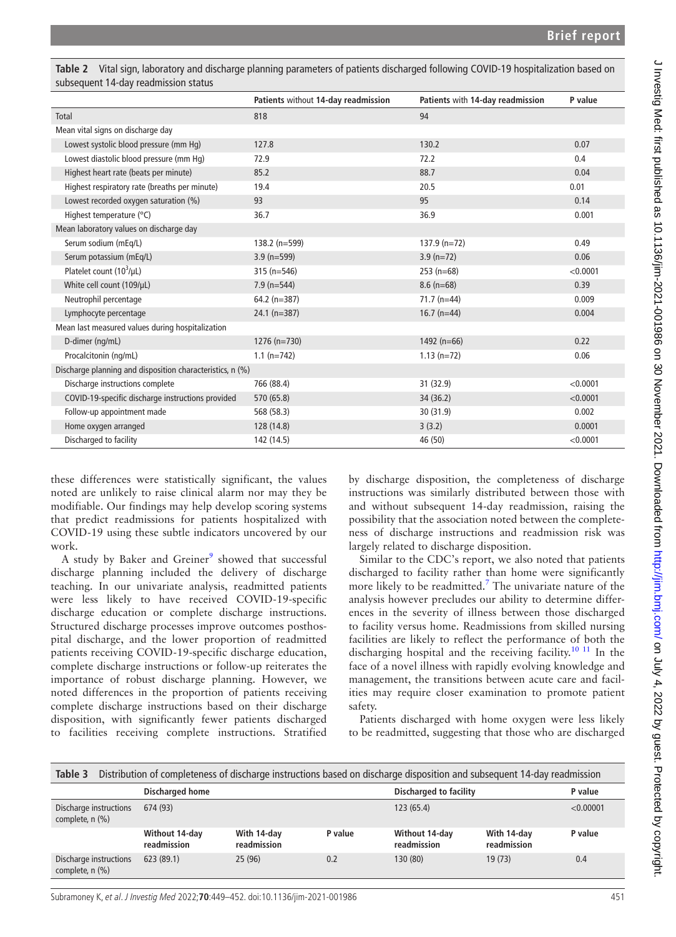|                                                           | Patients without 14-day readmission | Patients with 14-day readmission | P value  |  |  |  |
|-----------------------------------------------------------|-------------------------------------|----------------------------------|----------|--|--|--|
| Total                                                     | 818                                 | 94                               |          |  |  |  |
| Mean vital signs on discharge day                         |                                     |                                  |          |  |  |  |
| Lowest systolic blood pressure (mm Hq)                    | 127.8                               | 130.2                            | 0.07     |  |  |  |
| Lowest diastolic blood pressure (mm Hq)                   | 72.9                                | 72.2                             | 0.4      |  |  |  |
| Highest heart rate (beats per minute)                     | 85.2                                | 88.7                             | 0.04     |  |  |  |
| Highest respiratory rate (breaths per minute)             | 19.4                                | 20.5                             | 0.01     |  |  |  |
| Lowest recorded oxygen saturation (%)                     | 93                                  | 95                               | 0.14     |  |  |  |
| Highest temperature (°C)                                  | 36.7                                | 36.9                             | 0.001    |  |  |  |
| Mean laboratory values on discharge day                   |                                     |                                  |          |  |  |  |
| Serum sodium (mEq/L)                                      | 138.2 (n=599)                       | $137.9 (n=72)$                   | 0.49     |  |  |  |
| Serum potassium (mEq/L)                                   | $3.9$ (n=599)                       | $3.9$ (n=72)                     | 0.06     |  |  |  |
| Platelet count $(10^3/\mu L)$                             | $315(n=546)$                        | $253(n=68)$                      | < 0.0001 |  |  |  |
| White cell count (109/µL)                                 | $7.9$ (n=544)                       | $8.6$ (n=68)                     | 0.39     |  |  |  |
| Neutrophil percentage                                     | $64.2$ (n=387)                      | $71.7$ (n=44)                    | 0.009    |  |  |  |
| Lymphocyte percentage                                     | $24.1$ (n=387)                      | $16.7$ (n=44)                    | 0.004    |  |  |  |
| Mean last measured values during hospitalization          |                                     |                                  |          |  |  |  |
| D-dimer (ng/mL)                                           | $1276$ (n=730)                      | 1492 $(n=66)$                    | 0.22     |  |  |  |
| Procalcitonin (ng/mL)                                     | $1.1 (n=742)$                       | $1.13$ (n=72)                    | 0.06     |  |  |  |
| Discharge planning and disposition characteristics, n (%) |                                     |                                  |          |  |  |  |
| Discharge instructions complete                           | 766 (88.4)                          | 31 (32.9)                        | < 0.0001 |  |  |  |
| COVID-19-specific discharge instructions provided         | 570 (65.8)                          | 34 (36.2)                        | < 0.0001 |  |  |  |
| Follow-up appointment made                                | 568 (58.3)                          | 30 (31.9)                        | 0.002    |  |  |  |
| Home oxygen arranged                                      | 128 (14.8)                          | 3(3.2)                           | 0.0001   |  |  |  |
| Discharged to facility                                    | 142 (14.5)                          | 46 (50)                          | < 0.0001 |  |  |  |

<span id="page-2-0"></span>**Table 2** Vital sign, laboratory and discharge planning parameters of patients discharged following COVID-19 hospitalization based on subsequent 14-day readmission status

these differences were statistically significant, the values noted are unlikely to raise clinical alarm nor may they be modifiable. Our findings may help develop scoring systems that predict readmissions for patients hospitalized with COVID-19 using these subtle indicators uncovered by our work.

A study by Baker and Greiner<sup>[9](#page-3-8)</sup> showed that successful discharge planning included the delivery of discharge teaching. In our univariate analysis, readmitted patients were less likely to have received COVID-19-specific discharge education or complete discharge instructions. Structured discharge processes improve outcomes posthospital discharge, and the lower proportion of readmitted patients receiving COVID-19-specific discharge education, complete discharge instructions or follow-up reiterates the importance of robust discharge planning. However, we noted differences in the proportion of patients receiving complete discharge instructions based on their discharge disposition, with significantly fewer patients discharged to facilities receiving complete instructions. Stratified

by discharge disposition, the completeness of discharge instructions was similarly distributed between those with and without subsequent 14-day readmission, raising the possibility that the association noted between the completeness of discharge instructions and readmission risk was largely related to discharge disposition.

Similar to the CDC's report, we also noted that patients discharged to facility rather than home were significantly more likely to be readmitted.<sup>7</sup> The univariate nature of the analysis however precludes our ability to determine differences in the severity of illness between those discharged to facility versus home. Readmissions from skilled nursing facilities are likely to reflect the performance of both the discharging hospital and the receiving facility.<sup>10 11</sup> In the face of a novel illness with rapidly evolving knowledge and management, the transitions between acute care and facilities may require closer examination to promote patient safety.

Patients discharged with home oxygen were less likely to be readmitted, suggesting that those who are discharged

<span id="page-2-1"></span>

| Table 3<br>Distribution of completeness of discharge instructions based on discharge disposition and subsequent 14-day readmission |                               |                            |         |                               |                            |           |  |  |  |
|------------------------------------------------------------------------------------------------------------------------------------|-------------------------------|----------------------------|---------|-------------------------------|----------------------------|-----------|--|--|--|
|                                                                                                                                    | <b>Discharged home</b>        |                            |         | <b>Discharged to facility</b> |                            | P value   |  |  |  |
| Discharge instructions<br>complete, n (%)                                                                                          | 674 (93)                      |                            |         | 123(65.4)                     |                            | < 0.00001 |  |  |  |
|                                                                                                                                    | Without 14-day<br>readmission | With 14-day<br>readmission | P value | Without 14-day<br>readmission | With 14-day<br>readmission | P value   |  |  |  |
| Discharge instructions<br>complete, n (%)                                                                                          | 623(89.1)                     | 25(96)                     | 0.2     | 130 (80)                      | 19(73)                     | 0.4       |  |  |  |